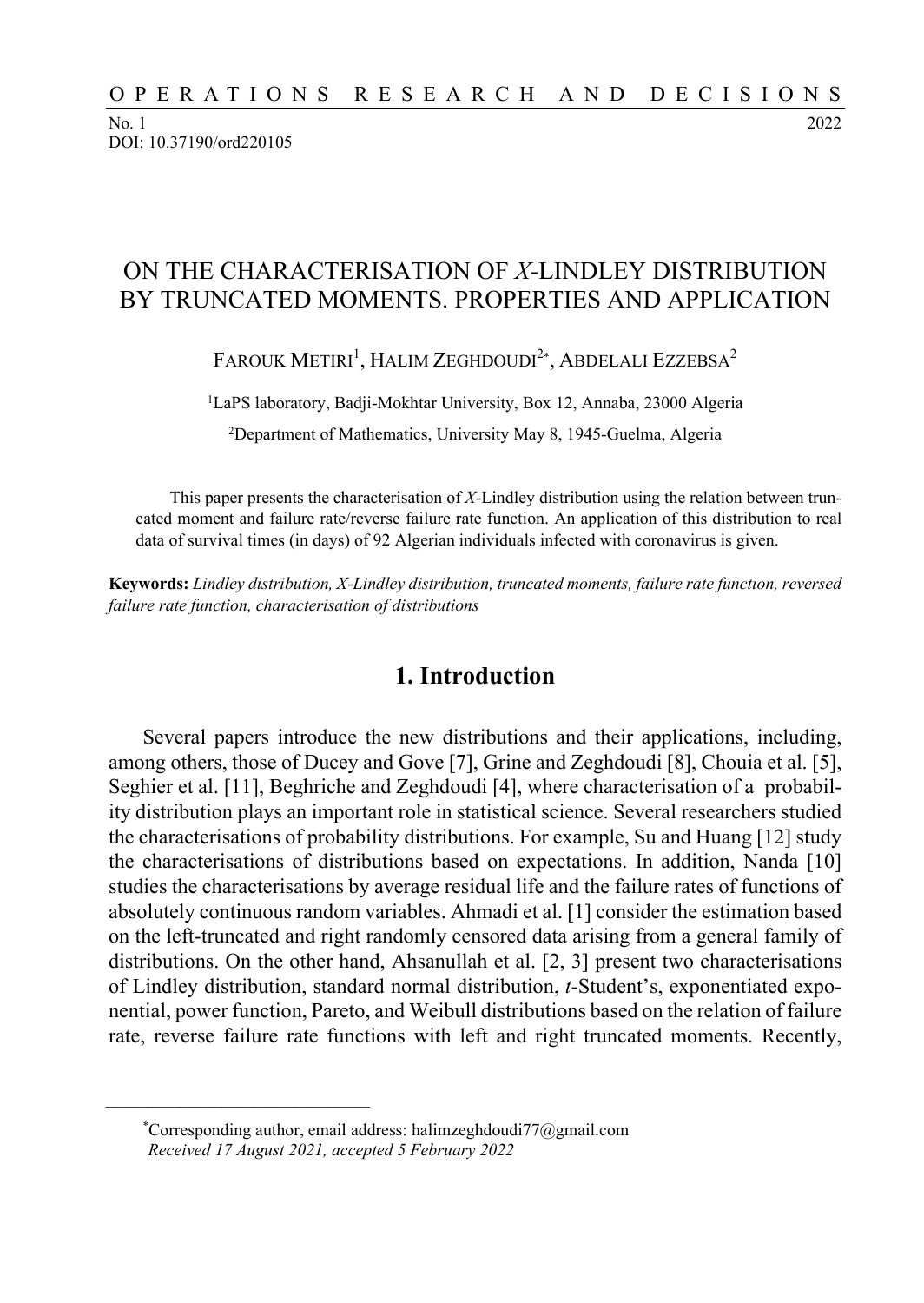No. 1 2022 DOI: 10.37190/ord220105

# ON THE CHARACTERISATION OF *X*-LINDLEY DISTRIBUTION BY TRUNCATED MOMENTS. PROPERTIES AND APPLICATION

FAROUK METIRI<sup>1</sup>, HALIM ZEGHDOUDI<sup>2</sup>\*, ABDELALI EZZEBSA<sup>2</sup>

1LaPS laboratory, Badji-Mokhtar University, Box 12, Annaba, 23000 Algeria 2Department of Mathematics, University May 8, 1945-Guelma, Algeria

This paper presents the characterisation of *X*-Lindley distribution using the relation between truncated moment and failure rate/reverse failure rate function. An application of this distribution to real data of survival times (in days) of 92 Algerian individuals infected with coronavirus is given.

**Keywords:** *Lindley distribution, X*-*Lindley distribution, truncated moments, failure rate function, reversed failure rate function, characterisation of distributions* 

#### **1. Introduction**

Several papers introduce the new distributions and their applications, including, among others, those of Ducey and Gove [7], Grine and Zeghdoudi [8], Chouia et al. [5], Seghier et al. [11], Beghriche and Zeghdoudi [4], where characterisation of a probability distribution plays an important role in statistical science. Several researchers studied the characterisations of probability distributions. For example, Su and Huang [12] study the characterisations of distributions based on expectations. In addition, Nanda [10] studies the characterisations by average residual life and the failure rates of functions of absolutely continuous random variables. Ahmadi et al. [1] consider the estimation based on the left-truncated and right randomly censored data arising from a general family of distributions. On the other hand, Ahsanullah et al. [2, 3] present two characterisations of Lindley distribution, standard normal distribution, *t*-Student's, exponentiated exponential, power function, Pareto, and Weibull distributions based on the relation of failure rate, reverse failure rate functions with left and right truncated moments. Recently,

 $\mathcal{L}_\text{max}$ 

<sup>\*</sup>Corresponding author, email address: halimzeghdoudi77@gmail.com *Received 17 August 2021, accepted 5 February 2022*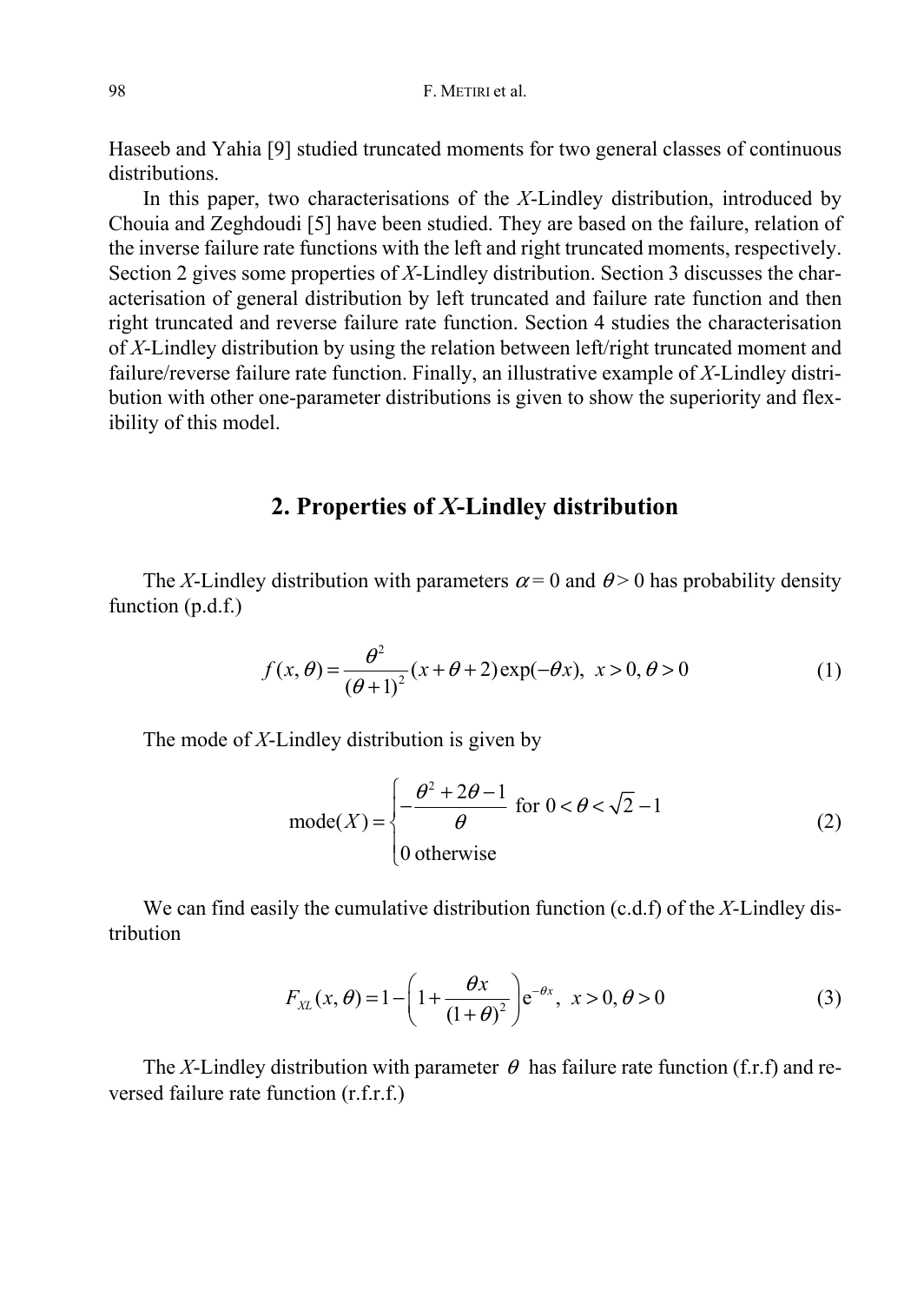Haseeb and Yahia [9] studied truncated moments for two general classes of continuous distributions.

In this paper, two characterisations of the *X*-Lindley distribution, introduced by Chouia and Zeghdoudi [5] have been studied. They are based on the failure, relation of the inverse failure rate functions with the left and right truncated moments, respectively. Section 2 gives some properties of *X*-Lindley distribution. Section 3 discusses the characterisation of general distribution by left truncated and failure rate function and then right truncated and reverse failure rate function. Section 4 studies the characterisation of *X*-Lindley distribution by using the relation between left/right truncated moment and failure/reverse failure rate function. Finally, an illustrative example of *X*-Lindley distribution with other one-parameter distributions is given to show the superiority and flexibility of this model.

## **2. Properties of** *X***-Lindley distribution**

The *X*-Lindley distribution with parameters  $\alpha = 0$  and  $\theta > 0$  has probability density function (p.d.f.)

$$
f(x, \theta) = \frac{\theta^2}{(\theta + 1)^2} (x + \theta + 2) \exp(-\theta x), \quad x > 0, \theta > 0
$$
 (1)

The mode of *X*-Lindley distribution is given by

$$
\text{mode}(X) = \begin{cases} -\frac{\theta^2 + 2\theta - 1}{\theta} & \text{for } 0 < \theta < \sqrt{2} - 1 \\ 0 & \text{otherwise} \end{cases}
$$
 (2)

We can find easily the cumulative distribution function (c.d.f) of the *X*-Lindley distribution

$$
F_{XL}(x,\theta) = 1 - \left(1 + \frac{\theta x}{\left(1 + \theta\right)^2}\right) e^{-\theta x}, \ x > 0, \ \theta > 0 \tag{3}
$$

The *X*-Lindley distribution with parameter  $\theta$  has failure rate function (f.r.f) and reversed failure rate function (r.f.r.f.)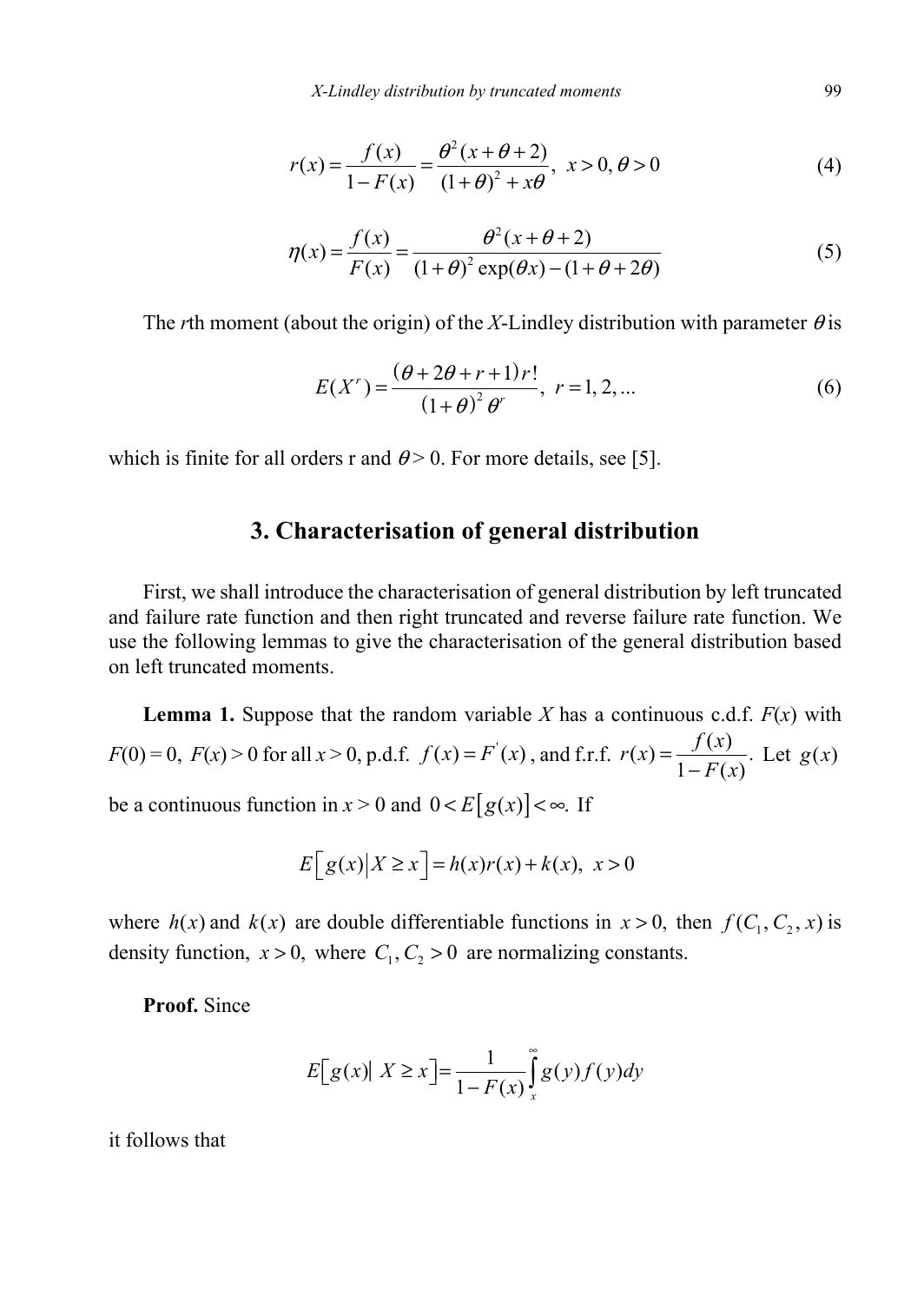*X-Lindley distribution by truncated moments* 99

$$
r(x) = \frac{f(x)}{1 - F(x)} = \frac{\theta^2 (x + \theta + 2)}{(1 + \theta)^2 + x\theta}, \ x > 0, \ \theta > 0
$$
 (4)

$$
\eta(x) = \frac{f(x)}{F(x)} = \frac{\theta^2(x + \theta + 2)}{(1 + \theta)^2 \exp(\theta x) - (1 + \theta + 2\theta)}
$$
(5)

The *r*th moment (about the origin) of the *X*-Lindley distribution with parameter  $\theta$  is

$$
E(Xr) = \frac{(\theta + 2\theta + r + 1)r!}{(1 + \theta)^2 \theta^r}, \ r = 1, 2, ... \tag{6}
$$

which is finite for all orders r and  $\theta$  > 0. For more details, see [5].

### **3. Characterisation of general distribution**

First, we shall introduce the characterisation of general distribution by left truncated and failure rate function and then right truncated and reverse failure rate function. We use the following lemmas to give the characterisation of the general distribution based on left truncated moments.

**Lemma 1.** Suppose that the random variable *X* has a continuous c.d.f.  $F(x)$  with  $F(0) = 0$ ,  $F(x) > 0$  for all  $x > 0$ , p.d.f.  $f(x) = F'(x)$ , and f.r.f.  $r(x) = \frac{f(x)}{1 - F(x)}$ . Let  $g(x)$ be a continuous function in  $x > 0$  and  $0 < E[g(x)] < \infty$ . If

$$
E[g(x)|X \ge x] = h(x)r(x) + k(x), \ x > 0
$$

where  $h(x)$  and  $k(x)$  are double differentiable functions in  $x > 0$ , then  $f(C_1, C_2, x)$  is density function,  $x > 0$ , where  $C_1, C_2 > 0$  are normalizing constants.

**Proof.** Since

$$
E[g(x)| X \ge x] = \frac{1}{1 - F(x)} \int_{x}^{\infty} g(y) f(y) dy
$$

it follows that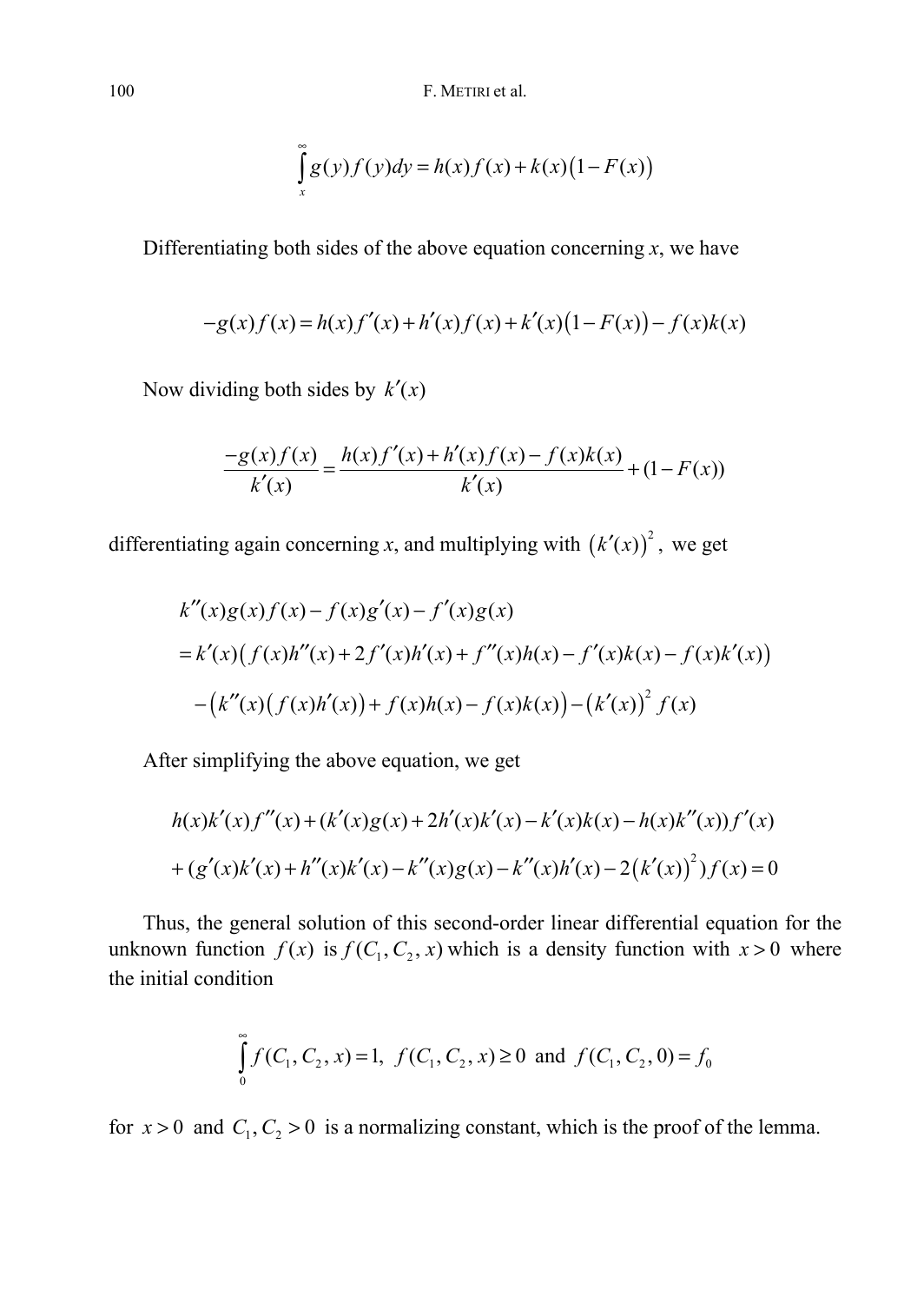100 F. METIRI et al.

$$
\int_{x}^{\infty} g(y)f(y)dy = h(x)f(x) + k(x)(1 - F(x))
$$

Differentiating both sides of the above equation concerning  $x$ , we have

$$
-g(x)f(x) = h(x)f'(x) + h'(x)f(x) + k'(x)(1 - F(x)) - f(x)k(x)
$$

Now dividing both sides by  $k'(x)$ 

$$
\frac{-g(x)f(x)}{k'(x)} = \frac{h(x)f'(x) + h'(x)f(x) - f(x)k(x)}{k'(x)} + (1 - F(x))
$$

differentiating again concerning x, and multiplying with  $(k'(x))^{2}$ , we get

$$
k''(x)g(x)f(x) - f(x)g'(x) - f'(x)g(x)
$$
  
=  $k'(x)(f(x)h''(x) + 2f'(x)h'(x) + f''(x)h(x) - f'(x)k(x) - f(x)k'(x))$   
 $- (k''(x)(f(x)h'(x)) + f(x)h(x) - f(x)k(x)) - (k'(x))^2 f(x)$ 

After simplifying the above equation, we get

$$
h(x)k'(x)f''(x) + (k'(x)g(x) + 2h'(x)k'(x) - k'(x)k(x) - h(x)k''(x))f'(x)
$$
  
+  $(g'(x)k'(x) + h''(x)k'(x) - k''(x)g(x) - k''(x)h'(x) - 2(k'(x))^{2})f(x) = 0$ 

Thus, the general solution of this second-order linear differential equation for the unknown function  $f(x)$  is  $f(C_1, C_2, x)$  which is a density function with  $x > 0$  where the initial condition

$$
\int_{0}^{\infty} f(C_1, C_2, x) = 1, f(C_1, C_2, x) \ge 0 \text{ and } f(C_1, C_2, 0) = f_0
$$

for  $x > 0$  and  $C_1, C_2 > 0$  is a normalizing constant, which is the proof of the lemma.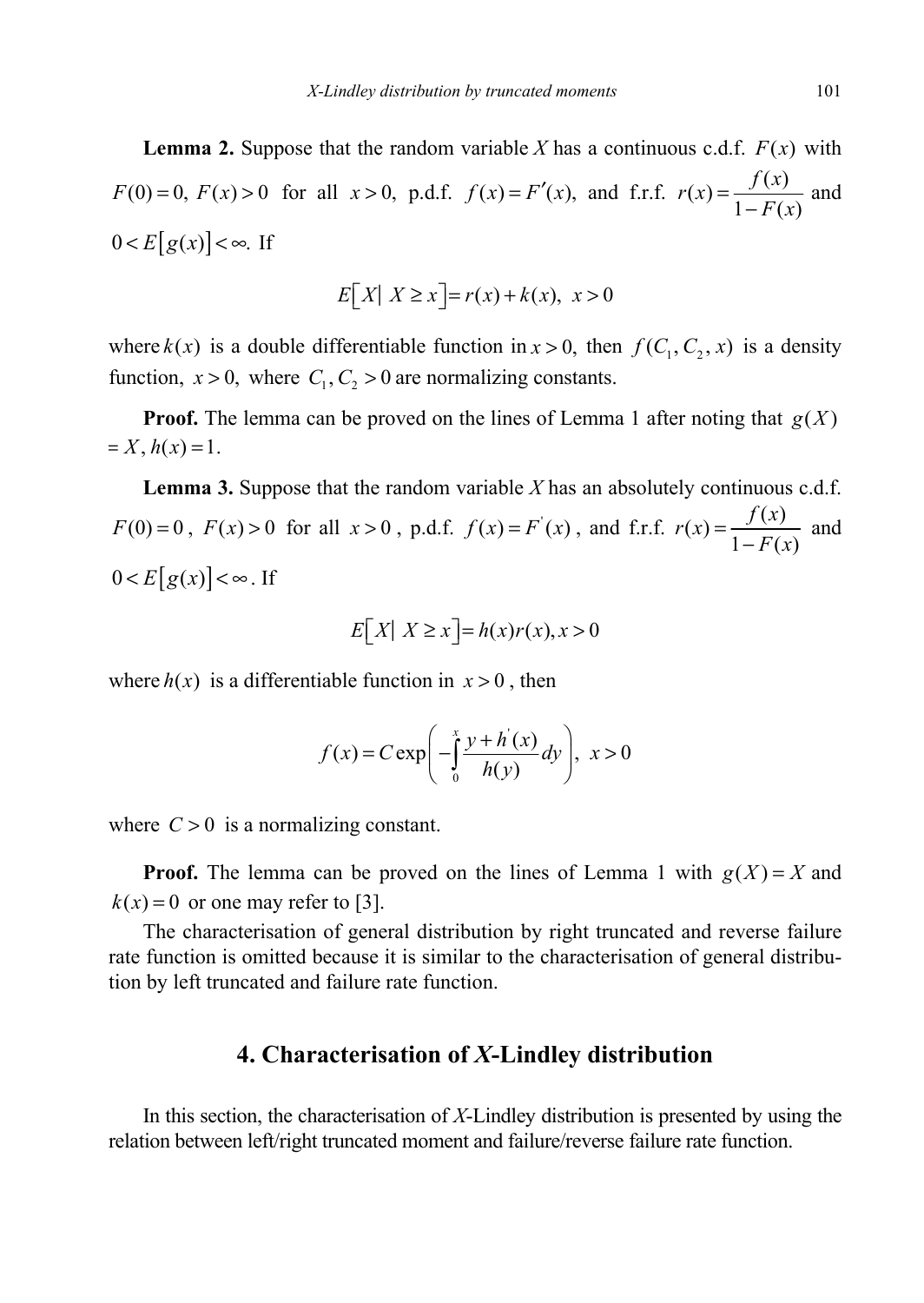**Lemma 2.** Suppose that the random variable *X* has a continuous c.d.f.  $F(x)$  with *F*(0) = 0, *F*(*x*) > 0 for all *x* > 0, p.d.f.  $f(x) = F'(x)$ , and f.r.f.  $r(x) = \frac{f(x)}{1 - F(x)}$  and  $0 < E[g(x)] < \infty$ . If

$$
E[X| X \ge x] = r(x) + k(x), \ x > 0
$$

where  $k(x)$  is a double differentiable function in  $x > 0$ , then  $f(C_1, C_2, x)$  is a density function,  $x > 0$ , where  $C_1, C_2 > 0$  are normalizing constants.

**Proof.** The lemma can be proved on the lines of Lemma 1 after noting that  $g(X)$  $= X, h(x) = 1.$ 

**Lemma 3.** Suppose that the random variable *X* has an absolutely continuous c.d.f. *F*(0) = 0, *F*(*x*) > 0 for all *x* > 0, p.d.f.  $f(x) = F'(x)$ , and f.r.f.  $r(x) = \frac{f(x)}{1 - F(x)}$  and  $0 < E[g(x)] < \infty$ . If

$$
E[X \mid X \ge x] = h(x)r(x), x > 0
$$

where  $h(x)$  is a differentiable function in  $x > 0$ , then

$$
f(x) = C \exp\left(-\int_0^x \frac{y + h'(x)}{h(y)} dy\right), \ x > 0
$$

where  $C > 0$  is a normalizing constant.

**Proof.** The lemma can be proved on the lines of Lemma 1 with  $g(X) = X$  and  $k(x) = 0$  or one may refer to [3].

The characterisation of general distribution by right truncated and reverse failure rate function is omitted because it is similar to the characterisation of general distribution by left truncated and failure rate function.

### **4. Characterisation of** *X***-Lindley distribution**

In this section, the characterisation of *X*-Lindley distribution is presented by using the relation between left/right truncated moment and failure/reverse failure rate function.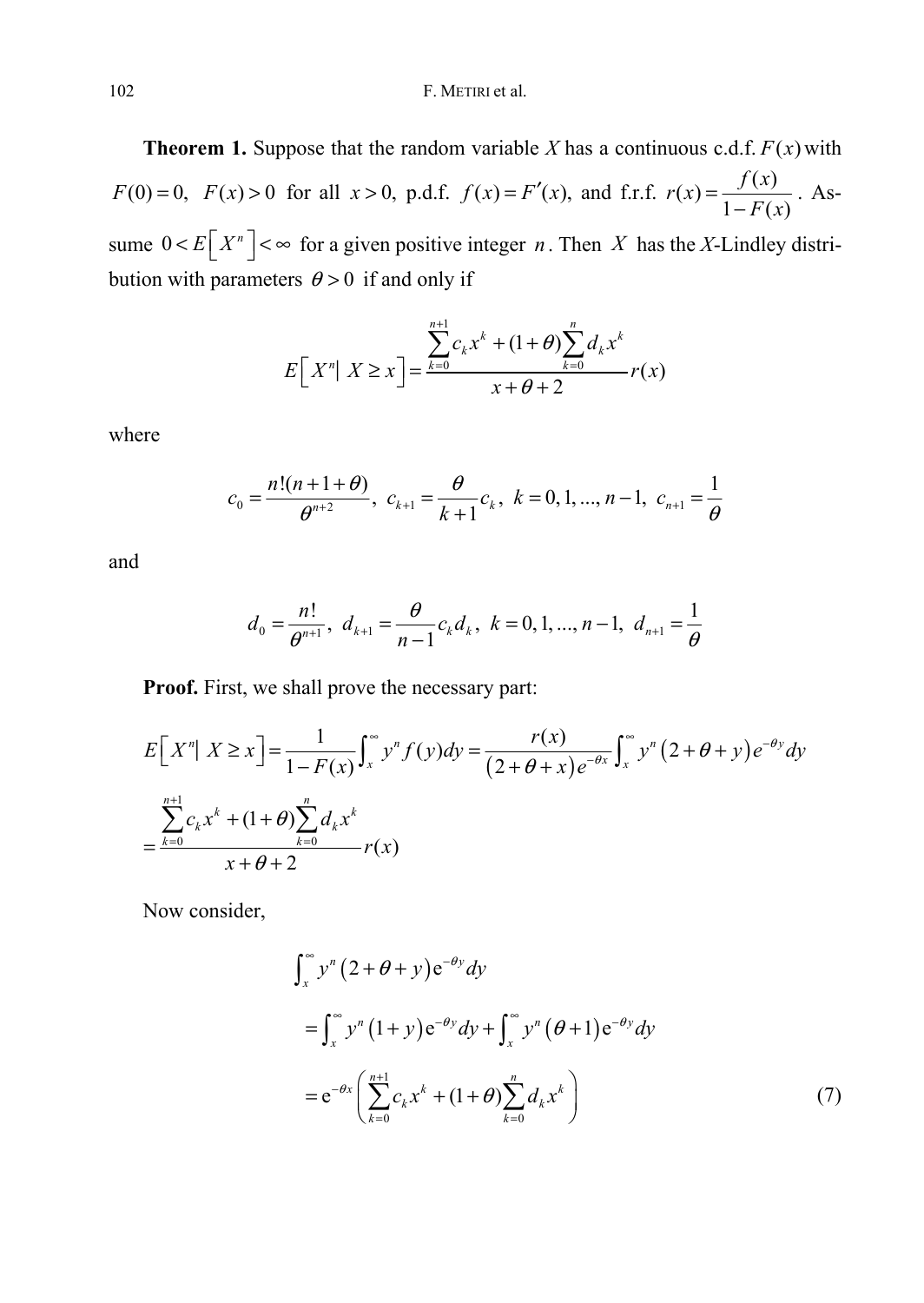**Theorem 1.** Suppose that the random variable *X* has a continuous c.d.f.  $F(x)$  with *F*(0) = 0, *F*(*x*) > 0 for all *x* > 0, p.d.f.  $f(x) = F'(x)$ , and f.r.f.  $r(x) = \frac{f(x)}{1 - F(x)}$ . Assume  $0 < E[X^n] < \infty$  for a given positive integer *n*. Then *X* has the *X*-Lindley distribution with parameters  $\theta > 0$  if and only if

$$
E\left[X^n | X \ge x\right] = \frac{\sum_{k=0}^{n+1} c_k x^k + (1+\theta) \sum_{k=0}^n d_k x^k}{x+\theta+2} r(x)
$$

where

$$
c_0 = \frac{n!(n+1+\theta)}{\theta^{n+2}}, \ c_{k+1} = \frac{\theta}{k+1}c_k, \ k = 0, 1, ..., n-1, \ c_{n+1} = \frac{1}{\theta}
$$

and

$$
d_0 = \frac{n!}{\theta^{n+1}}, \ d_{k+1} = \frac{\theta}{n-1} c_k d_k, \ k = 0, 1, ..., n-1, \ d_{n+1} = \frac{1}{\theta}
$$

**Proof.** First, we shall prove the necessary part:

$$
E[Xn] X \ge x] = \frac{1}{1 - F(x)} \int_{x}^{\infty} y^{n} f(y) dy = \frac{r(x)}{(2 + \theta + x)e^{-\theta x}} \int_{x}^{\infty} y^{n} (2 + \theta + y) e^{-\theta y} dy
$$
  
= 
$$
\frac{\sum_{k=0}^{n+1} c_{k} x^{k} + (1 + \theta) \sum_{k=0}^{n} d_{k} x^{k}}{x + \theta + 2} r(x)
$$

Now consider,

$$
\int_{x}^{\infty} y^{n} (2 + \theta + y) e^{-\theta y} dy
$$
  
\n
$$
= \int_{x}^{\infty} y^{n} (1 + y) e^{-\theta y} dy + \int_{x}^{\infty} y^{n} (\theta + 1) e^{-\theta y} dy
$$
  
\n
$$
= e^{-\theta x} \left( \sum_{k=0}^{n+1} c_{k} x^{k} + (1 + \theta) \sum_{k=0}^{n} d_{k} x^{k} \right)
$$
(7)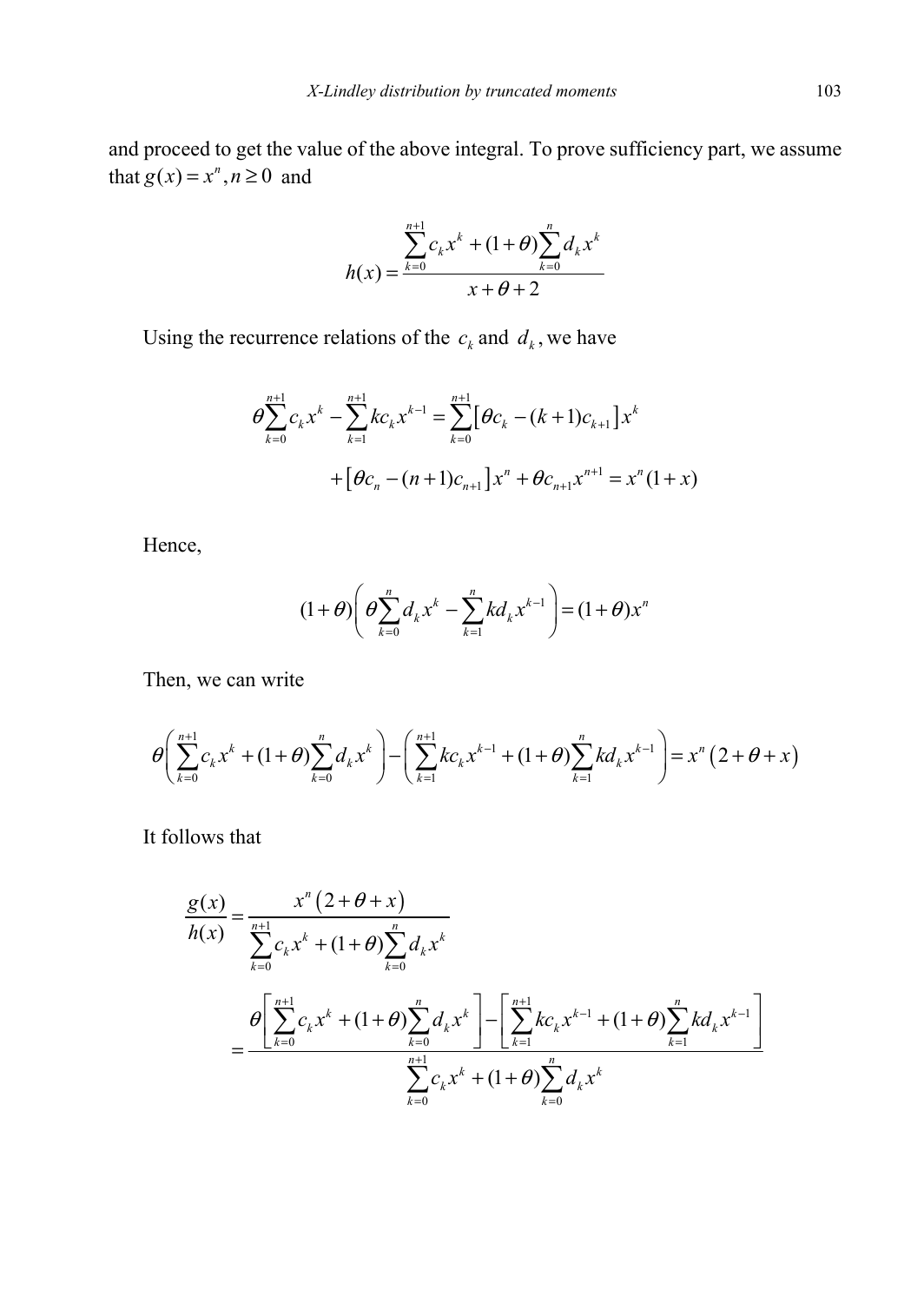and proceed to get the value of the above integral. To prove sufficiency part, we assume that  $g(x) = x^n, n \ge 0$  and

$$
h(x) = \frac{\sum_{k=0}^{n+1} c_k x^k + (1+\theta) \sum_{k=0}^{n} d_k x^k}{x + \theta + 2}
$$

Using the recurrence relations of the  $c_k$  and  $d_k$ , we have

$$
\Theta \sum_{k=0}^{n+1} c_k x^k - \sum_{k=1}^{n+1} k c_k x^{k-1} = \sum_{k=0}^{n+1} [\Theta c_k - (k+1) c_{k+1}] x^k
$$
  
+  $[\Theta c_n - (n+1) c_{n+1}] x^n + \Theta c_{n+1} x^{n+1} = x^n (1+x)$ 

Hence,

$$
(1+\theta)\left(\theta\sum_{k=0}^{n}d_{k}x^{k}-\sum_{k=1}^{n}kd_{k}x^{k-1}\right)=(1+\theta)x^{n}
$$

Then, we can write

$$
\theta \left( \sum_{k=0}^{n+1} c_k x^k + (1+\theta) \sum_{k=0}^n d_k x^k \right) - \left( \sum_{k=1}^{n+1} k c_k x^{k-1} + (1+\theta) \sum_{k=1}^n k d_k x^{k-1} \right) = x^n (2+\theta + x)
$$

It follows that

$$
\frac{g(x)}{h(x)} = \frac{x^n (2 + \theta + x)}{\sum_{k=0}^{n+1} c_k x^k + (1 + \theta) \sum_{k=0}^n d_k x^k}
$$
\n
$$
= \frac{\theta \left[ \sum_{k=0}^{n+1} c_k x^k + (1 + \theta) \sum_{k=0}^n d_k x^k \right] - \left[ \sum_{k=1}^{n+1} k c_k x^{k-1} + (1 + \theta) \sum_{k=1}^n k d_k x^{k-1} \right]}{\sum_{k=0}^{n+1} c_k x^k + (1 + \theta) \sum_{k=0}^n d_k x^k}
$$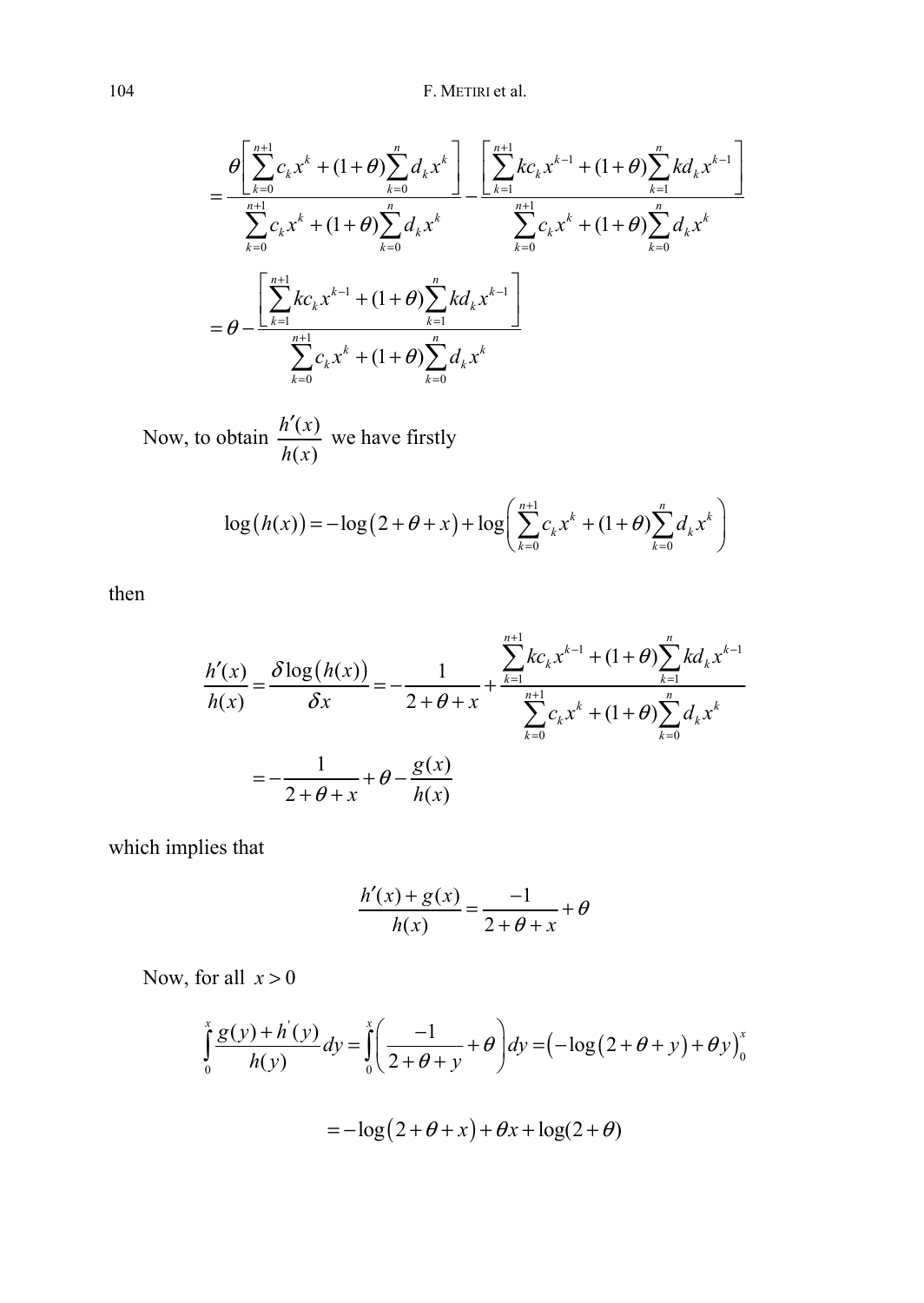$$
= \frac{\theta \left[ \sum_{k=0}^{n+1} c_k x^k + (1+\theta) \sum_{k=0}^n d_k x^k \right]}{\sum_{k=0}^{n+1} c_k x^k + (1+\theta) \sum_{k=0}^n d_k x^k} - \frac{\left[ \sum_{k=1}^{n+1} k c_k x^{k-1} + (1+\theta) \sum_{k=1}^n k d_k x^{k-1} \right]}{\sum_{k=0}^{n+1} c_k x^k + (1+\theta) \sum_{k=0}^n d_k x^k}
$$

$$
= \theta - \frac{\left[ \sum_{k=1}^{n+1} k c_k x^{k-1} + (1+\theta) \sum_{k=1}^n k d_k x^{k-1} \right]}{\sum_{k=0}^{n+1} c_k x^k + (1+\theta) \sum_{k=0}^n d_k x^k}
$$

Now, to obtain  $\frac{h'(x)}{h(x)}$  $(x)$ *h x h x*  $\frac{r(x)}{x}$  we have firstly

$$
\log(h(x)) = -\log(2+\theta+x) + \log\left(\sum_{k=0}^{n+1} c_k x^k + (1+\theta)\sum_{k=0}^{n} d_k x^k\right)
$$

then

$$
\frac{h'(x)}{h(x)} = \frac{\delta \log(h(x))}{\delta x} = -\frac{1}{2 + \theta + x} + \frac{\sum_{k=1}^{n+1} kc_k x^{k-1} + (1 + \theta) \sum_{k=1}^n kd_k x^{k-1}}{\sum_{k=0}^{n+1} c_k x^k + (1 + \theta) \sum_{k=0}^n d_k x^k}
$$

$$
= -\frac{1}{2 + \theta + x} + \theta - \frac{g(x)}{h(x)}
$$

which implies that

$$
\frac{h'(x)+g(x)}{h(x)} = \frac{-1}{2+\theta+x} + \theta
$$

Now, for all  $x > 0$ 

$$
\int_{0}^{x} \frac{g(y) + h'(y)}{h(y)} dy = \int_{0}^{x} \left( \frac{-1}{2 + \theta + y} + \theta \right) dy = \left( -\log(2 + \theta + y) + \theta y \right)_{0}^{x}
$$

$$
=-\log(2+\theta+x)+\theta x+\log(2+\theta)
$$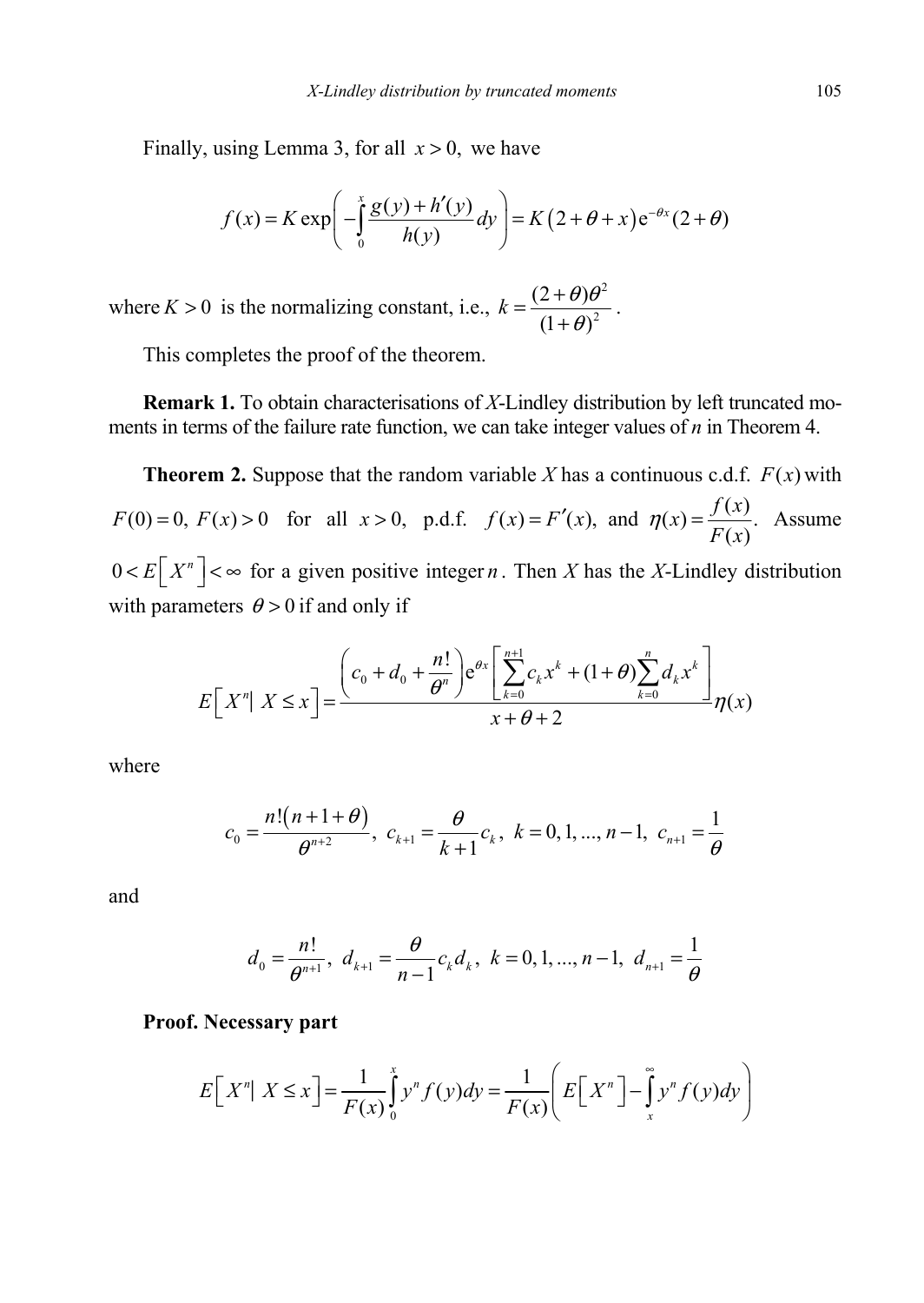Finally, using Lemma 3, for all  $x > 0$ , we have

$$
f(x) = K \exp\left(-\int_{0}^{x} \frac{g(y) + h'(y)}{h(y)} dy\right) = K\left(2 + \theta + x\right) e^{-\theta x} (2 + \theta)
$$

where  $K > 0$  is the normalizing constant, i.e., 2 2  $(2 + \theta)$  $(1 + \theta)$  $k = \frac{(2+\theta)\theta^2}{(1+\theta)^2}.$ 

This completes the proof of the theorem.

**Remark 1.** To obtain characterisations of *X*-Lindley distribution by left truncated moments in terms of the failure rate function, we can take integer values of *n* in Theorem 4.

**Theorem 2.** Suppose that the random variable X has a continuous c.d.f.  $F(x)$  with  $F(0) = 0$ ,  $F(x) > 0$  for all  $x > 0$ , p.d.f.  $f(x) = F'(x)$ , and  $\eta(x) = \frac{f(x)}{F(x)}$ . *F x*  $\eta(x) = \frac{f(x)}{\sqrt{x}}$ . Assume  $0 < E\left[X^n\right] < \infty$  for a given positive integer *n*. Then *X* has the *X*-Lindley distribution with parameters  $\theta > 0$  if and only if

$$
E\left[X^n\big|X\leq x\right] = \frac{\left(c_0+d_0+\frac{n!}{\theta^n}\right)e^{\theta x}\left[\sum_{k=0}^{n+1}c_kx^k+(1+\theta)\sum_{k=0}^n d_kx^k\right]}{x+\theta+2}\eta(x)
$$

where

$$
c_0 = \frac{n!(n+1+\theta)}{\theta^{n+2}}, \ c_{k+1} = \frac{\theta}{k+1}c_k, \ k = 0, 1, ..., n-1, \ c_{n+1} = \frac{1}{\theta}
$$

and

$$
d_0 = \frac{n!}{\theta^{n+1}}, \ d_{k+1} = \frac{\theta}{n-1} c_k d_k, \ k = 0, 1, ..., n-1, \ d_{n+1} = \frac{1}{\theta}
$$

#### **Proof. Necessary part**

$$
E[Xn | X \le x] = \frac{1}{F(x)} \int_{0}^{x} y^{n} f(y) dy = \frac{1}{F(x)} \left( E[X^{n}] - \int_{x}^{\infty} y^{n} f(y) dy \right)
$$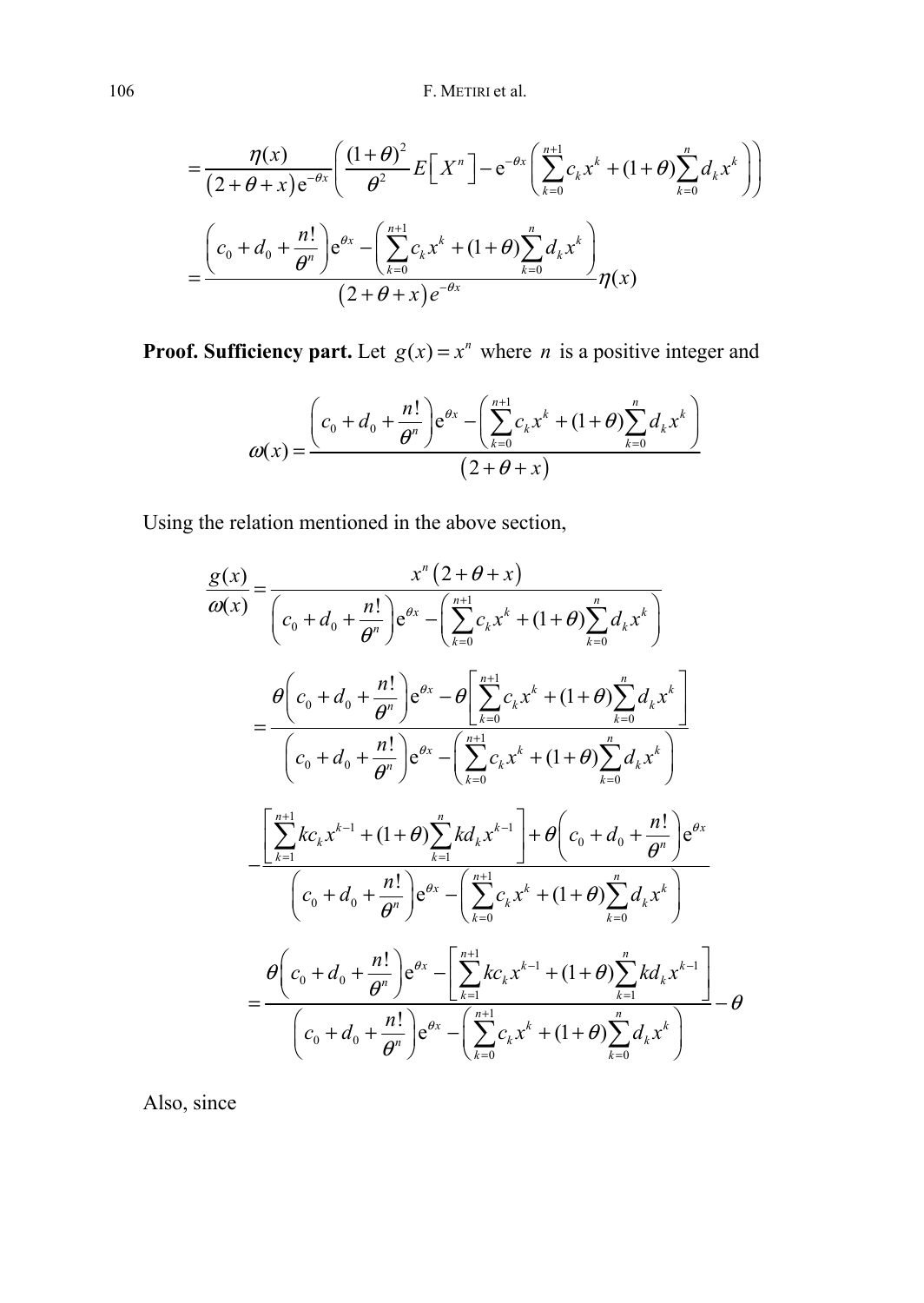$$
= \frac{\eta(x)}{(2+\theta+x)e^{-\theta x}} \left( \frac{(1+\theta)^2}{\theta^2} E\left[X^n\right] - e^{-\theta x} \left( \sum_{k=0}^{n+1} c_k x^k + (1+\theta) \sum_{k=0}^n d_k x^k \right) \right)
$$

$$
= \frac{\left(c_0 + d_0 + \frac{n!}{\theta^n}\right) e^{\theta x} - \left(\sum_{k=0}^{n+1} c_k x^k + (1+\theta) \sum_{k=0}^n d_k x^k \right)}{(2+\theta+x)e^{-\theta x}} \eta(x)
$$

**Proof. Sufficiency part.** Let  $g(x) = x^n$  where *n* is a positive integer and

$$
\omega(x) = \frac{\left(c_0 + d_0 + \frac{n!}{\theta^n}\right) e^{\theta x} - \left(\sum_{k=0}^{n+1} c_k x^k + (1+\theta) \sum_{k=0}^n d_k x^k\right)}{(2+\theta+x)}
$$

Using the relation mentioned in the above section,

$$
\frac{g(x)}{\omega(x)} = \frac{x^{n} (2 + \theta + x)}{(c_{0} + d_{0} + \frac{n!}{\theta^{n}}) e^{\theta x} - (\sum_{k=0}^{n+1} c_{k} x^{k} + (1 + \theta) \sum_{k=0}^{n} d_{k} x^{k})}
$$
\n
$$
= \frac{\theta \left(c_{0} + d_{0} + \frac{n!}{\theta^{n}}\right) e^{\theta x} - \theta \left[\sum_{k=0}^{n+1} c_{k} x^{k} + (1 + \theta) \sum_{k=0}^{n} d_{k} x^{k}\right]}{(c_{0} + d_{0} + \frac{n!}{\theta^{n}}) e^{\theta x} - (\sum_{k=0}^{n+1} c_{k} x^{k} + (1 + \theta) \sum_{k=0}^{n} d_{k} x^{k})}
$$
\n
$$
= \frac{\left[\sum_{k=1}^{n+1} k c_{k} x^{k-1} + (1 + \theta) \sum_{k=1}^{n} k d_{k} x^{k-1}\right] + \theta \left(c_{0} + d_{0} + \frac{n!}{\theta^{n}}\right) e^{\theta x}}{(c_{0} + d_{0} + \frac{n!}{\theta^{n}}) e^{\theta x} - (\sum_{k=0}^{n+1} c_{k} x^{k} + (1 + \theta) \sum_{k=0}^{n} d_{k} x^{k})}
$$
\n
$$
= \frac{\theta \left(c_{0} + d_{0} + \frac{n!}{\theta^{n}}\right) e^{\theta x} - \left[\sum_{k=1}^{n+1} k c_{k} x^{k-1} + (1 + \theta) \sum_{k=1}^{n} k d_{k} x^{k-1}\right]}{(c_{0} + d_{0} + \frac{n!}{\theta^{n}}) e^{\theta x} - (\sum_{k=0}^{n+1} c_{k} x^{k} + (1 + \theta) \sum_{k=0}^{n} d_{k} x^{k})}
$$
\n
$$
= \theta \left(c_{0} + d_{0} + \frac{n!}{\theta^{n}}\right) e^{\theta x} - \left(\sum_{k=0}^{n+1} c_{k} x^{k} + (1 + \theta) \sum_{k=0}^{n} d_{k} x^{k}\right)
$$

Also, since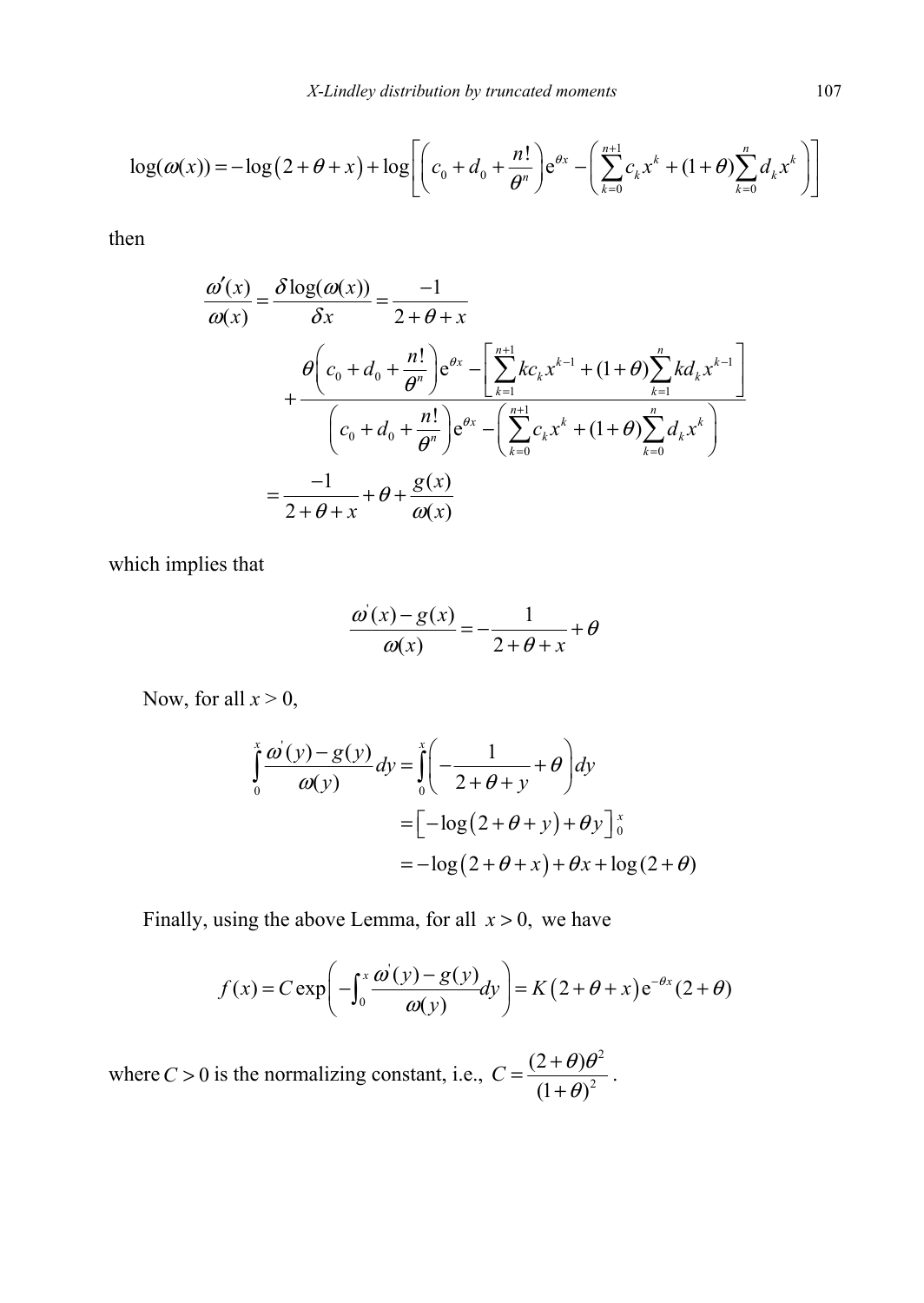$$
\log(\omega(x)) = -\log(2+\theta+x) + \log\left[ \left( c_0 + d_0 + \frac{n!}{\theta^n} \right) e^{\theta x} - \left( \sum_{k=0}^{n+1} c_k x^k + (1+\theta) \sum_{k=0}^n d_k x^k \right) \right]
$$

then

$$
\frac{\omega'(x)}{\omega(x)} = \frac{\delta \log(\omega(x))}{\delta x} = \frac{-1}{2 + \theta + x} \n+ \frac{\theta \left(c_0 + d_0 + \frac{n!}{\theta^n}\right) e^{\theta x} - \left[\sum_{k=1}^{n+1} k c_k x^{k-1} + (1 + \theta) \sum_{k=1}^n k d_k x^{k-1}\right]}{\left(c_0 + d_0 + \frac{n!}{\theta^n}\right) e^{\theta x} - \left(\sum_{k=0}^{n+1} c_k x^k + (1 + \theta) \sum_{k=0}^n d_k x^k\right)} \n= \frac{-1}{2 + \theta + x} + \theta + \frac{g(x)}{\omega(x)}
$$

which implies that

$$
\frac{\omega'(x) - g(x)}{\omega(x)} = -\frac{1}{2 + \theta + x} + \theta
$$

Now, for all  $x > 0$ ,

$$
\int_{0}^{x} \frac{\omega'(y) - g(y)}{\omega(y)} dy = \int_{0}^{x} \left( -\frac{1}{2 + \theta + y} + \theta \right) dy
$$
  
=  $\left[ -\log(2 + \theta + y) + \theta y \right]_{0}^{x}$   
=  $-\log(2 + \theta + x) + \theta x + \log(2 + \theta)$ 

Finally, using the above Lemma, for all  $x > 0$ , we have

$$
f(x) = C \exp\left(-\int_0^x \frac{\omega(y) - g(y)}{\omega(y)} dy\right) = K\left(2 + \theta + x\right) e^{-\theta x} (2 + \theta)
$$

where  $C > 0$  is the normalizing constant, i.e., 2 2  $(2 + \theta)$  $(1 + \theta)$  $C = \frac{(2+\theta)\theta^2}{(1+\theta)^2}.$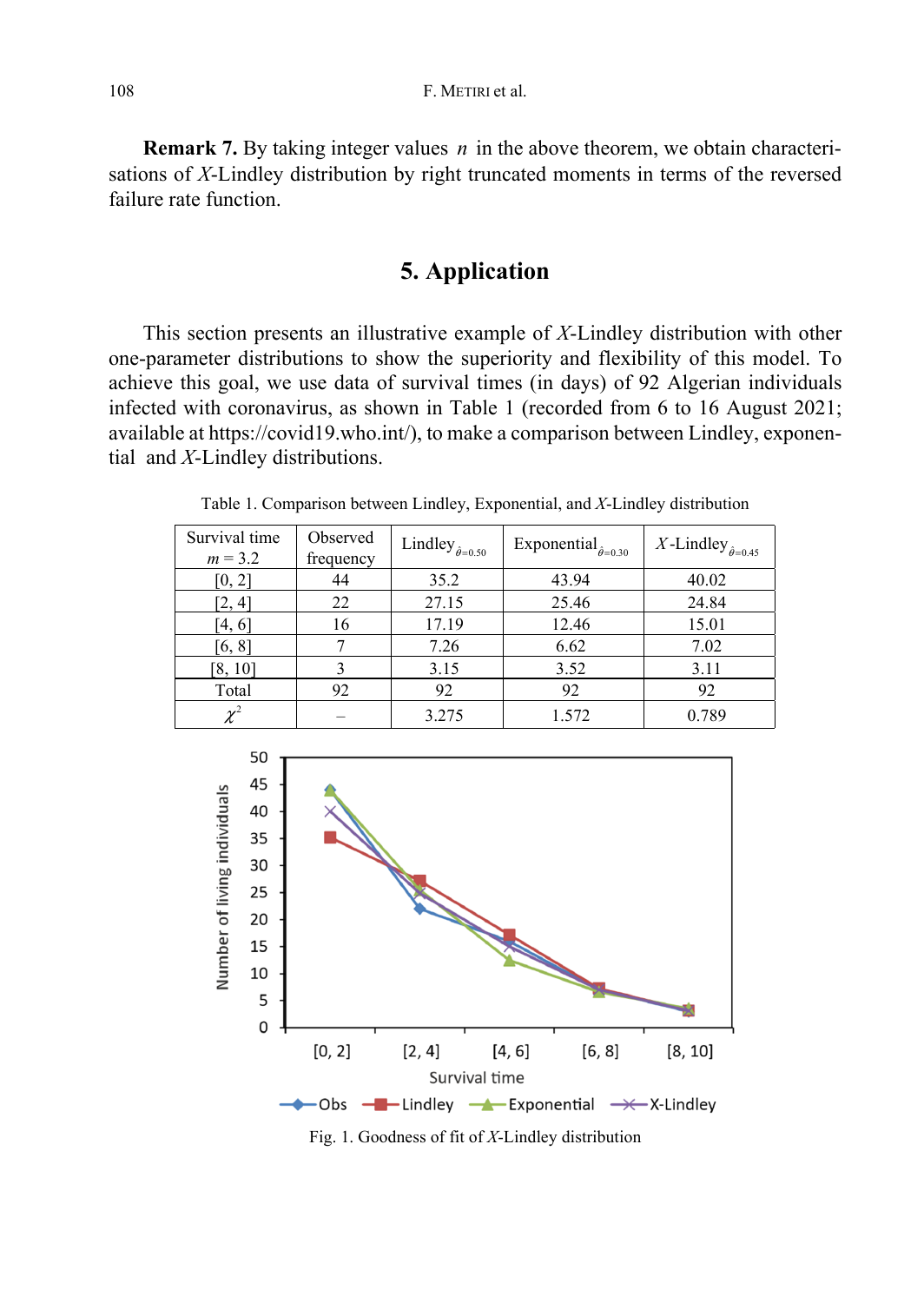**Remark 7.** By taking integer values *n* in the above theorem, we obtain characterisations of *X*-Lindley distribution by right truncated moments in terms of the reversed failure rate function.

### **5. Application**

This section presents an illustrative example of *X*-Lindley distribution with other one-parameter distributions to show the superiority and flexibility of this model. To achieve this goal, we use data of survival times (in days) of 92 Algerian individuals infected with coronavirus, as shown in Table 1 (recorded from 6 to 16 August 2021; available at https://covid19.who.int/), to make a comparison between Lindley, exponential and *X*-Lindley distributions.

| Survival time<br>$m = 3.2$ | Observed<br>frequency | Lindley $_{\hat{\theta}=0.50}$ | Exponential $_{\hat{\theta}=0.30}$ | X-Lindley $_{\hat{\theta}=0.45}$ |
|----------------------------|-----------------------|--------------------------------|------------------------------------|----------------------------------|
| [0, 2]                     | 44                    | 35.2                           | 43.94                              | 40.02                            |
| [2, 4]                     | 22                    | 27.15                          | 25.46                              | 24.84                            |
| $\left[4,6\right]$         | 16                    | 17.19                          | 12.46                              | 15.01                            |
| [6, 8]                     |                       | 7.26                           | 6.62                               | 7.02                             |
| [8, 10]                    |                       | 3.15                           | 3.52                               | 3.11                             |
| Total                      | 92                    | 92                             | 92                                 | 92                               |
| $\sim$ <sup>2</sup>        |                       | 3.275                          | 1.572                              | 0.789                            |

Table 1. Comparison between Lindley, Exponential, and *X*-Lindley distribution